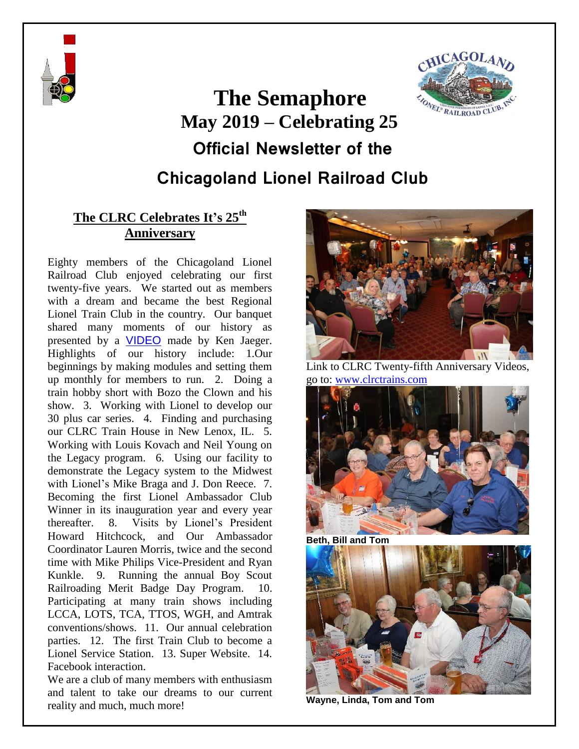



# **The Semaphore May 2019 – Celebrating 25 Official Newsletter of the Chicagoland Lionel Railroad Club**

## **The CLRC Celebrates It's 25th Anniversary**

Eighty members of the Chicagoland Lionel Railroad Club enjoyed celebrating our first twenty-five years. We started out as members with a dream and became the best Regional Lionel Train Club in the country. Our banquet shared many moments of our history as presented by a [VIDEO](https://www.youtube.com/watch?v=tW7quTS7wGc&t=) made by Ken Jaeger. Highlights of our history include: 1.Our beginnings by making modules and setting them up monthly for members to run. 2. Doing a train hobby short with Bozo the Clown and his show. 3. Working with Lionel to develop our 30 plus car series. 4. Finding and purchasing our CLRC Train House in New Lenox, IL. 5. Working with Louis Kovach and Neil Young on the Legacy program. 6. Using our facility to demonstrate the Legacy system to the Midwest with Lionel's Mike Braga and J. Don Reece. 7. Becoming the first Lionel Ambassador Club Winner in its inauguration year and every year thereafter. 8. Visits by Lionel's President Howard Hitchcock, and Our Ambassador Coordinator Lauren Morris, twice and the second time with Mike Philips Vice-President and Ryan Kunkle. 9. Running the annual Boy Scout Railroading Merit Badge Day Program. 10. Participating at many train shows including LCCA, LOTS, TCA, TTOS, WGH, and Amtrak conventions/shows. 11. Our annual celebration parties. 12. The first Train Club to become a Lionel Service Station. 13. Super Website. 14. Facebook interaction.

We are a club of many members with enthusiasm and talent to take our dreams to our current reality and much, much more!



Link to CLRC Twenty-fifth Anniversary Videos, go to: [www.clrctrains.com](http://www.clrctrains.com/)





**Wayne, Linda, Tom and Tom**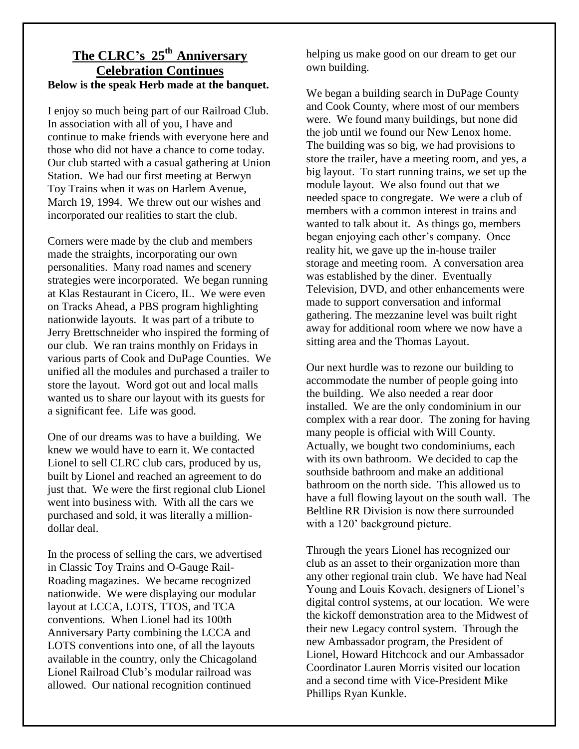### **The CLRC's 25th Anniversary Celebration Continues Below is the speak Herb made at the banquet.**

I enjoy so much being part of our Railroad Club. In association with all of you, I have and continue to make friends with everyone here and those who did not have a chance to come today. Our club started with a casual gathering at Union Station. We had our first meeting at Berwyn Toy Trains when it was on Harlem Avenue, March 19, 1994. We threw out our wishes and incorporated our realities to start the club.

Corners were made by the club and members made the straights, incorporating our own personalities. Many road names and scenery strategies were incorporated. We began running at Klas Restaurant in Cicero, IL. We were even on Tracks Ahead, a PBS program highlighting nationwide layouts. It was part of a tribute to Jerry Brettschneider who inspired the forming of our club. We ran trains monthly on Fridays in various parts of Cook and DuPage Counties. We unified all the modules and purchased a trailer to store the layout. Word got out and local malls wanted us to share our layout with its guests for a significant fee. Life was good.

One of our dreams was to have a building. We knew we would have to earn it. We contacted Lionel to sell CLRC club cars, produced by us, built by Lionel and reached an agreement to do just that. We were the first regional club Lionel went into business with. With all the cars we purchased and sold, it was literally a milliondollar deal.

In the process of selling the cars, we advertised in Classic Toy Trains and O-Gauge Rail-Roading magazines. We became recognized nationwide. We were displaying our modular layout at LCCA, LOTS, TTOS, and TCA conventions. When Lionel had its 100th Anniversary Party combining the LCCA and LOTS conventions into one, of all the layouts available in the country, only the Chicagoland Lionel Railroad Club's modular railroad was allowed. Our national recognition continued

helping us make good on our dream to get our own building.

We began a building search in DuPage County and Cook County, where most of our members were. We found many buildings, but none did the job until we found our New Lenox home. The building was so big, we had provisions to store the trailer, have a meeting room, and yes, a big layout. To start running trains, we set up the module layout. We also found out that we needed space to congregate. We were a club of members with a common interest in trains and wanted to talk about it. As things go, members began enjoying each other's company. Once reality hit, we gave up the in-house trailer storage and meeting room. A conversation area was established by the diner. Eventually Television, DVD, and other enhancements were made to support conversation and informal gathering. The mezzanine level was built right away for additional room where we now have a sitting area and the Thomas Layout.

Our next hurdle was to rezone our building to accommodate the number of people going into the building. We also needed a rear door installed. We are the only condominium in our complex with a rear door. The zoning for having many people is official with Will County. Actually, we bought two condominiums, each with its own bathroom. We decided to cap the southside bathroom and make an additional bathroom on the north side. This allowed us to have a full flowing layout on the south wall. The Beltline RR Division is now there surrounded with a 120' background picture.

Through the years Lionel has recognized our club as an asset to their organization more than any other regional train club. We have had Neal Young and Louis Kovach, designers of Lionel's digital control systems, at our location. We were the kickoff demonstration area to the Midwest of their new Legacy control system. Through the new Ambassador program, the President of Lionel, Howard Hitchcock and our Ambassador Coordinator Lauren Morris visited our location and a second time with Vice-President Mike Phillips Ryan Kunkle.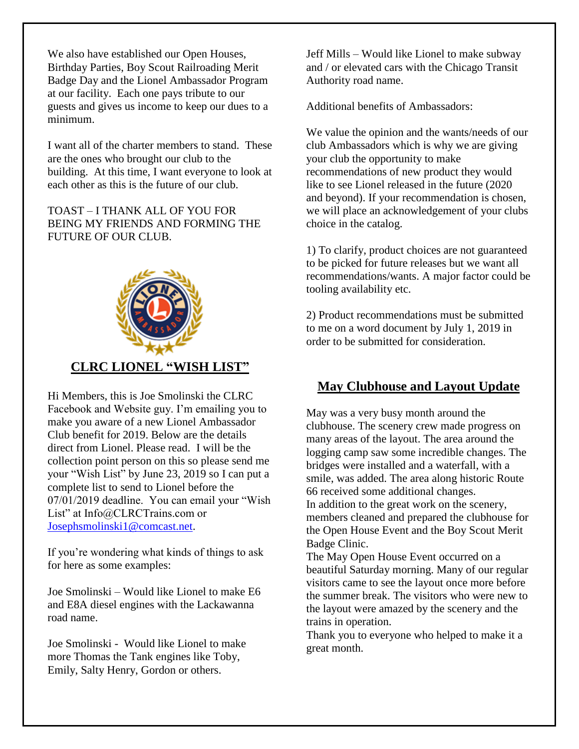We also have established our Open Houses, Birthday Parties, Boy Scout Railroading Merit Badge Day and the Lionel Ambassador Program at our facility. Each one pays tribute to our guests and gives us income to keep our dues to a minimum.

I want all of the charter members to stand. These are the ones who brought our club to the building. At this time, I want everyone to look at each other as this is the future of our club.

TOAST – I THANK ALL OF YOU FOR BEING MY FRIENDS AND FORMING THE FUTURE OF OUR CLUB.



#### **CLRC LIONEL "WISH LIST"**

Hi Members, this is Joe Smolinski the CLRC Facebook and Website guy. I'm emailing you to make you aware of a new Lionel Ambassador Club benefit for 2019. Below are the details direct from Lionel. Please read. I will be the collection point person on this so please send me your "Wish List" by June 23, 2019 so I can put a complete list to send to Lionel before the 07/01/2019 deadline. You can email your "Wish List" at Info@CLRCTrains.com or [Josephsmolinski1@comcast.net.](mailto:Josephsmolinski1@comcast.net)

If you're wondering what kinds of things to ask for here as some examples:

Joe Smolinski – Would like Lionel to make E6 and E8A diesel engines with the Lackawanna road name.

Joe Smolinski - Would like Lionel to make more Thomas the Tank engines like Toby, Emily, Salty Henry, Gordon or others.

Jeff Mills – Would like Lionel to make subway and / or elevated cars with the Chicago Transit Authority road name.

Additional benefits of Ambassadors:

We value the opinion and the wants/needs of our club Ambassadors which is why we are giving your club the opportunity to make recommendations of new product they would like to see Lionel released in the future (2020 and beyond). If your recommendation is chosen, we will place an acknowledgement of your clubs choice in the catalog.

1) To clarify, product choices are not guaranteed to be picked for future releases but we want all recommendations/wants. A major factor could be tooling availability etc.

2) Product recommendations must be submitted to me on a word document by July 1, 2019 in order to be submitted for consideration.

## **May Clubhouse and Layout Update**

May was a very busy month around the clubhouse. The scenery crew made progress on many areas of the layout. The area around the logging camp saw some incredible changes. The bridges were installed and a waterfall, with a smile, was added. The area along historic Route 66 received some additional changes. In addition to the great work on the scenery, members cleaned and prepared the clubhouse for the Open House Event and the Boy Scout Merit Badge Clinic.

The May Open House Event occurred on a beautiful Saturday morning. Many of our regular visitors came to see the layout once more before the summer break. The visitors who were new to the layout were amazed by the scenery and the trains in operation.

Thank you to everyone who helped to make it a great month.